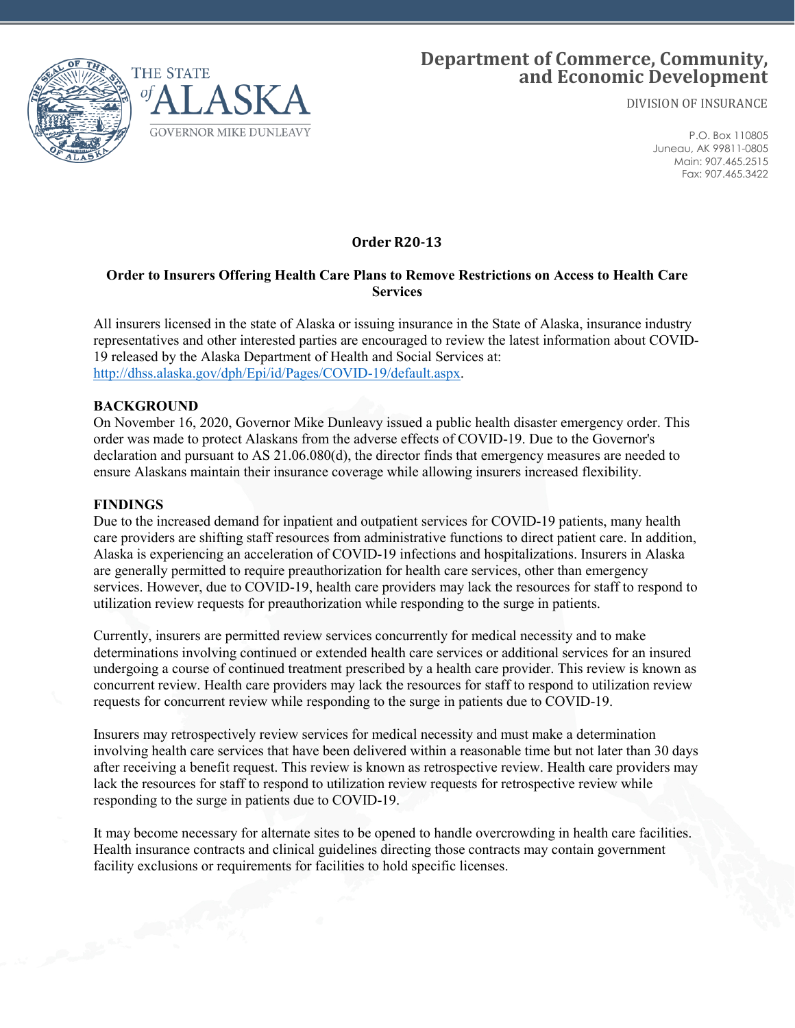

# **Department of Commerce, Community, and Economic Development**

DIVISION OF INSURANCE

P.O. Box 110805 Juneau, AK 99811-0805 Main: 907.465.2515 Fax: 907.465.3422

## **Order R20-13**

## **Order to Insurers Offering Health Care Plans to Remove Restrictions on Access to Health Care Services**

All insurers licensed in the state of Alaska or issuing insurance in the State of Alaska, insurance industry representatives and other interested parties are encouraged to review the latest information about COVID-19 released by the Alaska Department of Health and Social Services at: [http://dhss.alaska.gov/dph/Epi/id/Pages/COVID-19/default.aspx.](http://dhss.alaska.gov/dph/Epi/id/Pages/COVID-19/default.aspx)

### **BACKGROUND**

On November 16, 2020, Governor Mike Dunleavy issued a public health disaster emergency order. This order was made to protect Alaskans from the adverse effects of COVID-19. Due to the Governor's declaration and pursuant to AS 21.06.080(d), the director finds that emergency measures are needed to ensure Alaskans maintain their insurance coverage while allowing insurers increased flexibility.

#### **FINDINGS**

Due to the increased demand for inpatient and outpatient services for COVID-19 patients, many health care providers are shifting staff resources from administrative functions to direct patient care. In addition, Alaska is experiencing an acceleration of COVID-19 infections and hospitalizations. Insurers in Alaska are generally permitted to require preauthorization for health care services, other than emergency services. However, due to COVID-19, health care providers may lack the resources for staff to respond to utilization review requests for preauthorization while responding to the surge in patients.

Currently, insurers are permitted review services concurrently for medical necessity and to make determinations involving continued or extended health care services or additional services for an insured undergoing a course of continued treatment prescribed by a health care provider. This review is known as concurrent review. Health care providers may lack the resources for staff to respond to utilization review requests for concurrent review while responding to the surge in patients due to COVID-19.

Insurers may retrospectively review services for medical necessity and must make a determination involving health care services that have been delivered within a reasonable time but not later than 30 days after receiving a benefit request. This review is known as retrospective review. Health care providers may lack the resources for staff to respond to utilization review requests for retrospective review while responding to the surge in patients due to COVID-19.

It may become necessary for alternate sites to be opened to handle overcrowding in health care facilities. Health insurance contracts and clinical guidelines directing those contracts may contain government facility exclusions or requirements for facilities to hold specific licenses.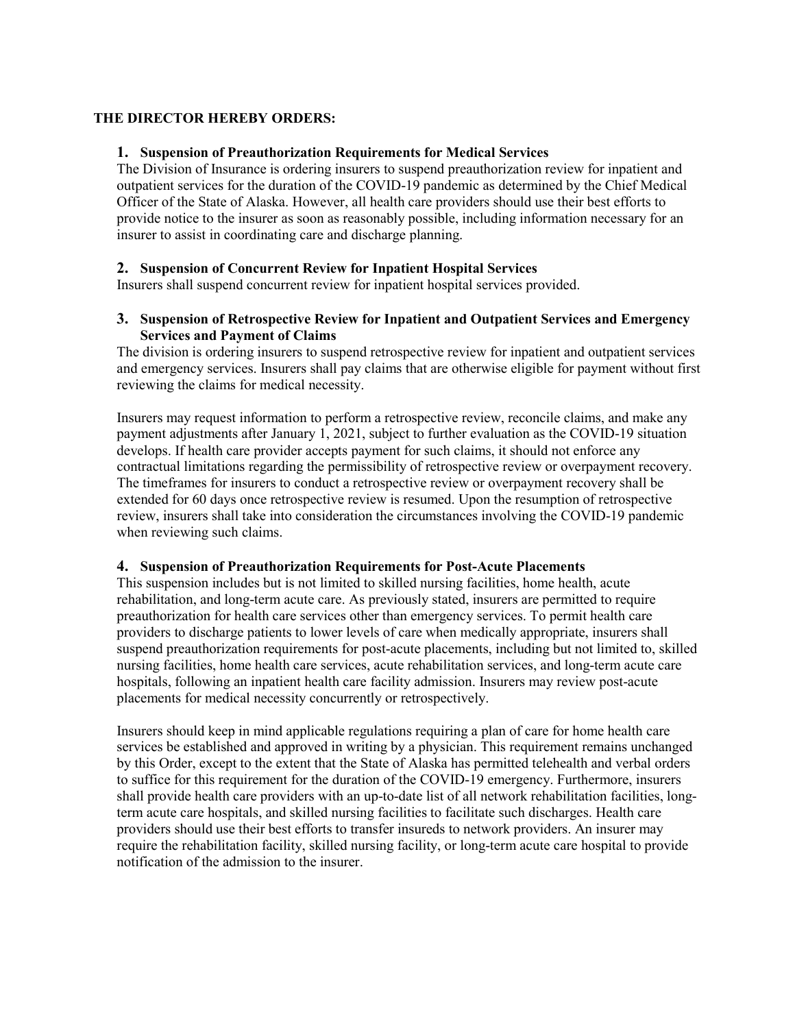## **THE DIRECTOR HEREBY ORDERS:**

### **1. Suspension of Preauthorization Requirements for Medical Services**

The Division of Insurance is ordering insurers to suspend preauthorization review for inpatient and outpatient services for the duration of the COVID-19 pandemic as determined by the Chief Medical Officer of the State of Alaska. However, all health care providers should use their best efforts to provide notice to the insurer as soon as reasonably possible, including information necessary for an insurer to assist in coordinating care and discharge planning.

### **2. Suspension of Concurrent Review for Inpatient Hospital Services**

Insurers shall suspend concurrent review for inpatient hospital services provided.

#### **3. Suspension of Retrospective Review for Inpatient and Outpatient Services and Emergency Services and Payment of Claims**

The division is ordering insurers to suspend retrospective review for inpatient and outpatient services and emergency services. Insurers shall pay claims that are otherwise eligible for payment without first reviewing the claims for medical necessity.

Insurers may request information to perform a retrospective review, reconcile claims, and make any payment adjustments after January 1, 2021, subject to further evaluation as the COVID-19 situation develops. If health care provider accepts payment for such claims, it should not enforce any contractual limitations regarding the permissibility of retrospective review or overpayment recovery. The timeframes for insurers to conduct a retrospective review or overpayment recovery shall be extended for 60 days once retrospective review is resumed. Upon the resumption of retrospective review, insurers shall take into consideration the circumstances involving the COVID-19 pandemic when reviewing such claims.

#### **4. Suspension of Preauthorization Requirements for Post-Acute Placements**

This suspension includes but is not limited to skilled nursing facilities, home health, acute rehabilitation, and long-term acute care. As previously stated, insurers are permitted to require preauthorization for health care services other than emergency services. To permit health care providers to discharge patients to lower levels of care when medically appropriate, insurers shall suspend preauthorization requirements for post-acute placements, including but not limited to, skilled nursing facilities, home health care services, acute rehabilitation services, and long-term acute care hospitals, following an inpatient health care facility admission. Insurers may review post-acute placements for medical necessity concurrently or retrospectively.

Insurers should keep in mind applicable regulations requiring a plan of care for home health care services be established and approved in writing by a physician. This requirement remains unchanged by this Order, except to the extent that the State of Alaska has permitted telehealth and verbal orders to suffice for this requirement for the duration of the COVID-19 emergency. Furthermore, insurers shall provide health care providers with an up-to-date list of all network rehabilitation facilities, longterm acute care hospitals, and skilled nursing facilities to facilitate such discharges. Health care providers should use their best efforts to transfer insureds to network providers. An insurer may require the rehabilitation facility, skilled nursing facility, or long-term acute care hospital to provide notification of the admission to the insurer.